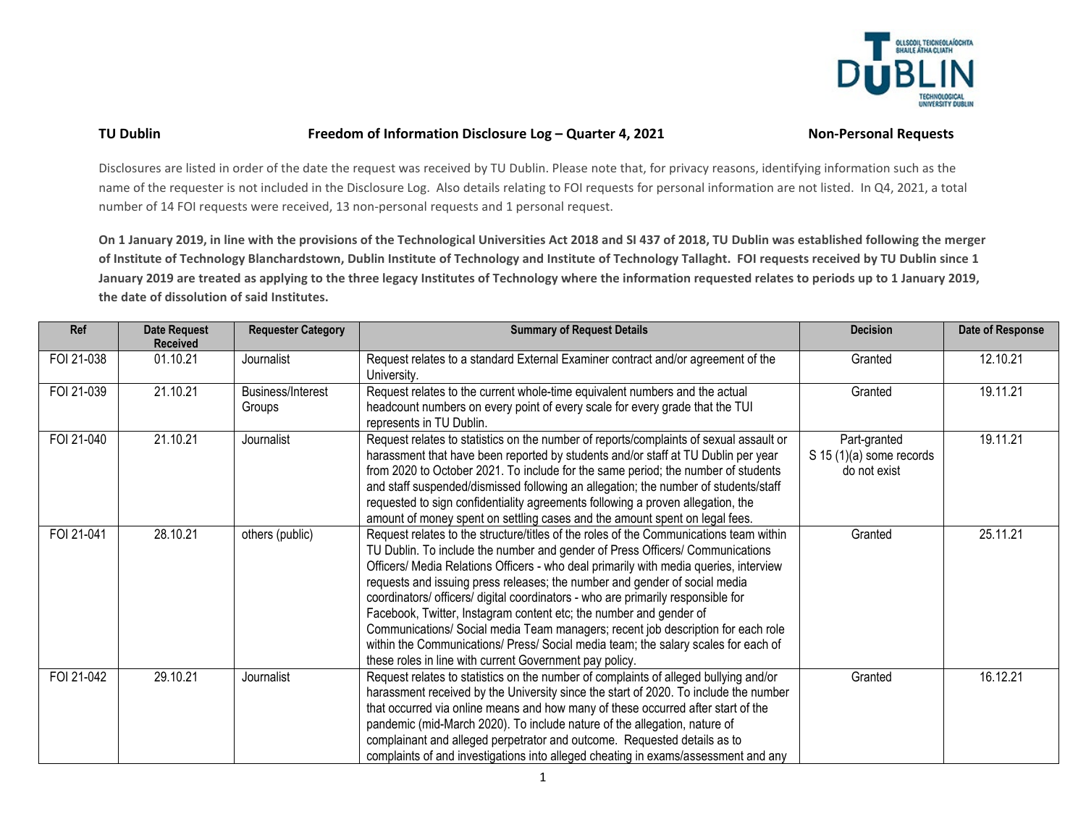

## TU Dublin Freedom of Information Disclosure Log - Quarter 4, 2021 Non-Personal Requests

Disclosures are listed in order of the date the request was received by TU Dublin. Please note that, for privacy reasons, identifying information such as the name of the requester is not included in the Disclosure Log. Also details relating to FOI requests for personal information are not listed. In Q4, 2021, a total number of 14 FOI requests were received, 13 non-personal requests and 1 personal request.

**On 1 January 2019, in line with the provisions of the Technological Universities Act 2018 and SI 437 of 2018, TU Dublin was established following the merger of Institute of Technology Blanchardstown, Dublin Institute of Technology and Institute of Technology Tallaght. FOI requests received by TU Dublin since 1 January 2019 are treated as applying to the three legacy Institutes of Technology where the information requested relates to periods up to 1 January 2019, the date of dissolution of said Institutes.**

| Ref        | <b>Date Request</b><br><b>Received</b> | <b>Requester Category</b>          | <b>Summary of Request Details</b>                                                                                                                                                                                                                                                                                                                                                                                                                                                                                                                                                                                                                                                                                                             | <b>Decision</b>                                            | Date of Response |
|------------|----------------------------------------|------------------------------------|-----------------------------------------------------------------------------------------------------------------------------------------------------------------------------------------------------------------------------------------------------------------------------------------------------------------------------------------------------------------------------------------------------------------------------------------------------------------------------------------------------------------------------------------------------------------------------------------------------------------------------------------------------------------------------------------------------------------------------------------------|------------------------------------------------------------|------------------|
| FOI 21-038 | 01.10.21                               | Journalist                         | Request relates to a standard External Examiner contract and/or agreement of the<br>University.                                                                                                                                                                                                                                                                                                                                                                                                                                                                                                                                                                                                                                               | Granted                                                    | 12.10.21         |
| FOI 21-039 | 21.10.21                               | <b>Business/Interest</b><br>Groups | Request relates to the current whole-time equivalent numbers and the actual<br>headcount numbers on every point of every scale for every grade that the TUI<br>represents in TU Dublin.                                                                                                                                                                                                                                                                                                                                                                                                                                                                                                                                                       | Granted                                                    | 19.11.21         |
| FOI 21-040 | 21.10.21                               | Journalist                         | Request relates to statistics on the number of reports/complaints of sexual assault or<br>harassment that have been reported by students and/or staff at TU Dublin per year<br>from 2020 to October 2021. To include for the same period; the number of students<br>and staff suspended/dismissed following an allegation; the number of students/staff<br>requested to sign confidentiality agreements following a proven allegation, the<br>amount of money spent on settling cases and the amount spent on legal fees.                                                                                                                                                                                                                     | Part-granted<br>$S$ 15 (1)(a) some records<br>do not exist | 19.11.21         |
| FOI 21-041 | 28.10.21                               | others (public)                    | Request relates to the structure/titles of the roles of the Communications team within<br>TU Dublin. To include the number and gender of Press Officers/ Communications<br>Officers/ Media Relations Officers - who deal primarily with media queries, interview<br>requests and issuing press releases; the number and gender of social media<br>coordinators/ officers/ digital coordinators - who are primarily responsible for<br>Facebook, Twitter, Instagram content etc; the number and gender of<br>Communications/ Social media Team managers; recent job description for each role<br>within the Communications/ Press/ Social media team; the salary scales for each of<br>these roles in line with current Government pay policy. | Granted                                                    | 25.11.21         |
| FOI 21-042 | 29.10.21                               | Journalist                         | Request relates to statistics on the number of complaints of alleged bullying and/or<br>harassment received by the University since the start of 2020. To include the number<br>that occurred via online means and how many of these occurred after start of the<br>pandemic (mid-March 2020). To include nature of the allegation, nature of<br>complainant and alleged perpetrator and outcome. Requested details as to<br>complaints of and investigations into alleged cheating in exams/assessment and any                                                                                                                                                                                                                               | Granted                                                    | 16.12.21         |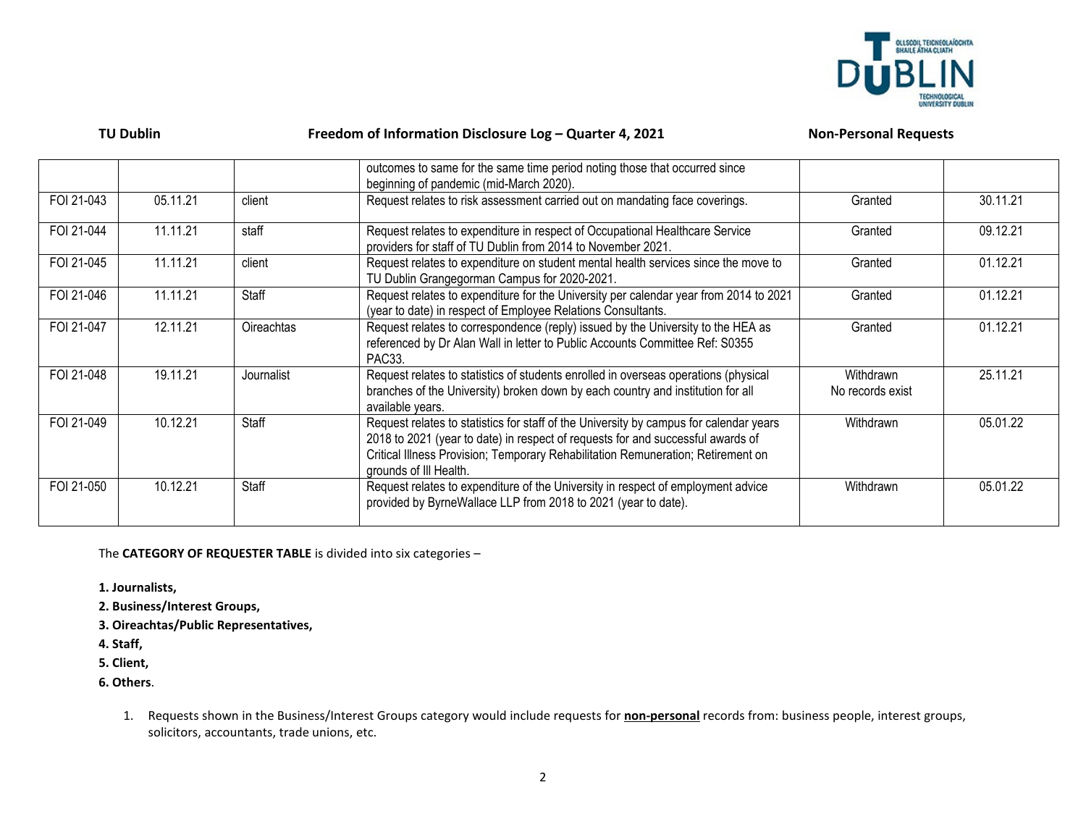

| <b>TU Dublin</b> |
|------------------|
|------------------|

## Freedom of Information Disclosure Log – Quarter 4, 2021 Non-Personal Requests

|            |          |                   | outcomes to same for the same time period noting those that occurred since<br>beginning of pandemic (mid-March 2020).                                                                                                                                                                   |                               |          |
|------------|----------|-------------------|-----------------------------------------------------------------------------------------------------------------------------------------------------------------------------------------------------------------------------------------------------------------------------------------|-------------------------------|----------|
| FOI 21-043 | 05.11.21 | client            | Request relates to risk assessment carried out on mandating face coverings.                                                                                                                                                                                                             | Granted                       | 30.11.21 |
| FOI 21-044 | 11.11.21 | staff             | Request relates to expenditure in respect of Occupational Healthcare Service<br>providers for staff of TU Dublin from 2014 to November 2021.                                                                                                                                            | Granted                       | 09.12.21 |
| FOI 21-045 | 11.11.21 | client            | Request relates to expenditure on student mental health services since the move to<br>TU Dublin Grangegorman Campus for 2020-2021.                                                                                                                                                      | Granted                       | 01.12.21 |
| FOI 21-046 | 11.11.21 | Staff             | Request relates to expenditure for the University per calendar year from 2014 to 2021<br>(year to date) in respect of Employee Relations Consultants.                                                                                                                                   | Granted                       | 01.12.21 |
| FOI 21-047 | 12.11.21 | <b>Oireachtas</b> | Request relates to correspondence (reply) issued by the University to the HEA as<br>referenced by Dr Alan Wall in letter to Public Accounts Committee Ref: S0355<br>PAC33.                                                                                                              | Granted                       | 01.12.21 |
| FOI 21-048 | 19.11.21 | Journalist        | Request relates to statistics of students enrolled in overseas operations (physical<br>branches of the University) broken down by each country and institution for all<br>available years.                                                                                              | Withdrawn<br>No records exist | 25.11.21 |
| FOI 21-049 | 10.12.21 | Staff             | Request relates to statistics for staff of the University by campus for calendar years<br>2018 to 2021 (year to date) in respect of requests for and successful awards of<br>Critical Illness Provision; Temporary Rehabilitation Remuneration; Retirement on<br>grounds of III Health. | Withdrawn                     | 05.01.22 |
| FOI 21-050 | 10.12.21 | Staff             | Request relates to expenditure of the University in respect of employment advice<br>provided by ByrneWallace LLP from 2018 to 2021 (year to date).                                                                                                                                      | Withdrawn                     | 05.01.22 |

The **CATEGORY OF REQUESTER TABLE** is divided into six categories –

- **1. Journalists,**
- **2. Business/Interest Groups,**
- **3. Oireachtas/Public Representatives,**
- **4. Staff,**
- **5. Client,**
- **6. Others**.
	- 1. Requests shown in the Business/Interest Groups category would include requests for **non-personal** records from: business people, interest groups, solicitors, accountants, trade unions, etc.